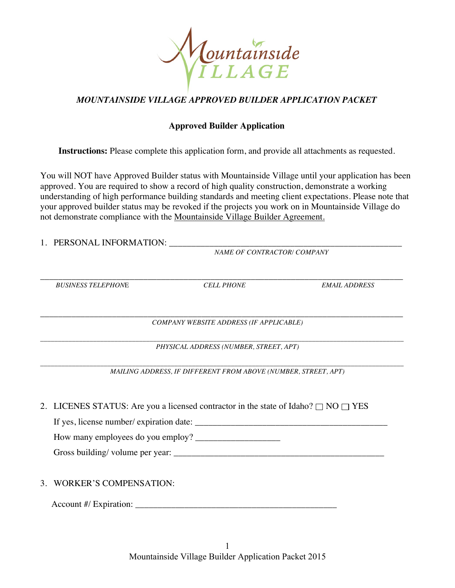

## *MOUNTAINSIDE VILLAGE APPROVED BUILDER APPLICATION PACKET*

## **Approved Builder Application**

**Instructions:** Please complete this application form, and provide all attachments as requested.

You will NOT have Approved Builder status with Mountainside Village until your application has been approved. You are required to show a record of high quality construction, demonstrate a working understanding of high performance building standards and meeting client expectations. Please note that your approved builder status may be revoked if the projects you work on in Mountainside Village do not demonstrate compliance with the Mountainside Village Builder Agreement.

- 1. PERSONAL INFORMATION: \_\_\_\_\_\_\_\_\_\_\_\_\_\_\_\_\_\_\_\_\_\_\_\_\_\_\_\_\_\_\_\_\_\_\_\_\_\_\_\_\_\_\_\_\_\_\_\_\_\_\_\_ *NAME OF CONTRACTOR/ COMPANY*  \_\_\_\_\_\_\_\_\_\_\_\_\_\_\_\_\_\_\_\_\_\_\_\_\_\_\_\_\_\_\_\_\_\_\_\_\_\_\_\_\_\_\_\_\_\_\_\_\_\_\_\_\_\_\_\_\_\_\_\_\_\_\_\_\_\_\_\_\_\_\_\_\_\_\_\_\_\_\_\_\_ *BUSINESS TELEPHON*E *CELL PHONE EMAIL ADDRESS*  \_\_\_\_\_\_\_\_\_\_\_\_\_\_\_\_\_\_\_\_\_\_\_\_\_\_\_\_\_\_\_\_\_\_\_\_\_\_\_\_\_\_\_\_\_\_\_\_\_\_\_\_\_\_\_\_\_\_\_\_\_\_\_\_\_\_\_\_\_\_\_\_\_\_\_\_\_\_\_\_\_ *COMPANY WEBSITE ADDRESS (IF APPLICABLE) \_\_\_\_\_\_\_\_\_\_\_\_\_\_\_\_\_\_\_\_\_\_\_\_\_\_\_\_\_\_\_\_\_\_\_\_\_\_\_\_\_\_\_\_\_\_\_\_\_\_\_\_\_\_\_\_\_\_\_\_\_\_\_\_\_\_\_\_\_\_\_\_\_\_\_\_\_\_\_\_\_\_\_\_\_\_\_\_\_\_\_\_\_\_\_\_\_\_\_\_\_\_\_ PHYSICAL ADDRESS (NUMBER, STREET, APT) \_\_\_\_\_\_\_\_\_\_\_\_\_\_\_\_\_\_\_\_\_\_\_\_\_\_\_\_\_\_\_\_\_\_\_\_\_\_\_\_\_\_\_\_\_\_\_\_\_\_\_\_\_\_\_\_\_\_\_\_\_\_\_\_\_\_\_\_\_\_\_\_\_\_\_\_\_\_\_\_\_\_\_\_\_\_\_\_\_\_\_\_\_\_\_\_\_\_\_\_\_\_\_ MAILING ADDRESS, IF DIFFERENT FROM ABOVE (NUMBER, STREET, APT)* 2. LICENES STATUS: Are you a licensed contractor in the state of Idaho?  $\Box$  NO  $\Box$  YES If yes, license number/ expiration date: \_\_\_\_\_\_\_\_\_\_\_\_\_\_\_\_\_\_\_\_\_\_\_\_\_\_\_\_\_\_\_\_\_\_\_\_\_\_\_\_\_\_\_ How many employees do you employ? Gross building/ volume per year: \_\_\_\_\_\_\_\_\_\_\_\_\_\_\_\_\_\_\_\_\_\_\_\_\_\_\_\_\_\_\_\_\_\_\_\_\_\_\_\_\_\_\_\_\_\_\_
- 3. WORKER'S COMPENSATION:

Account #/ Expiration: